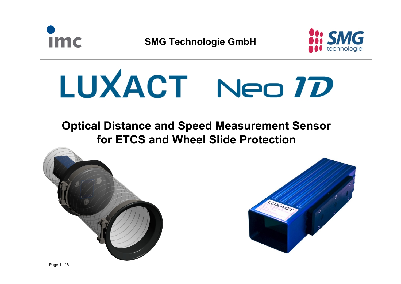

# **Optical Distance and Speed Measurement Sensor for ETCS and Wheel Slide Protection**



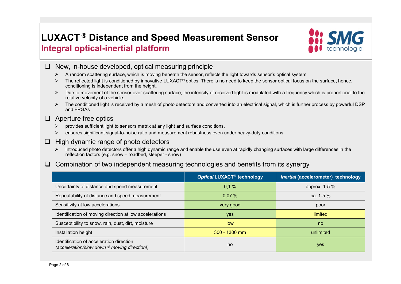# **LUXACT ® Distance and Speed Measurement Sensor Integral optical-inertial platform**



- $\Box$  New, in-house developed, optical measuring principle
	- A random scattering surface, which is moving beneath the sensor, reflects the light towards sensor's optical system
	- $\triangleright$  The reflected light is conditioned by innovative LUXACT® optics. There is no need to keep the sensor optical focus on the surface, hence, conditioning is independent from the height.
	- $\triangleright$  Due to movement of the sensor over scattering surface, the intensity of received light is modulated with a frequency which is proportional to the relative velocity of a vehicle.
	- $\triangleright$  The conditioned light is received by a mesh of photo detectors and converted into an electrical signal, which is further process by powerful DSP and FPGAs

#### $\Box$  Aperture free optics

- $\triangleright$  provides sufficient light to sensors matrix at any light and surface conditions,
- $\triangleright$  ensures significant signal-to-noise ratio and measurement robustness even under heavy-duty conditions.
- $\Box$  High dynamic range of photo detectors
	- Introduced photo detectors offer a high dynamic range and enable the use even at rapidly changing surfaces with large differences in the reflection factors (e.g. snow – roadbed, sleeper - snow)
- $\Box$  Combination of two independent measuring technologies and benefits from its synergy

|                                                                                               | Optical LUXACT <sup>®</sup> technology<br>Inertial (accelerometer) technology |               |  |
|-----------------------------------------------------------------------------------------------|-------------------------------------------------------------------------------|---------------|--|
| Uncertainty of distance and speed measurement                                                 | 0.1%                                                                          | approx. 1-5 % |  |
| Repeatability of distance and speed measurement                                               | 0,07%                                                                         | ca. 1-5 $%$   |  |
| Sensitivity at low accelerations                                                              | very good                                                                     | poor          |  |
| Identification of moving direction at low accelerations                                       | yes                                                                           | limited       |  |
| Susceptibility to snow, rain, dust, dirt, moisture                                            | low                                                                           | no.           |  |
| Installation height                                                                           | $300 - 1300$ mm                                                               | unlimited     |  |
| Identification of acceleration direction<br>(acceleration/slow down $\neq$ moving direction!) | no                                                                            | yes           |  |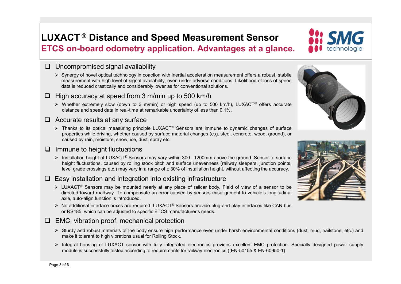### **LUXACT ® Distance and Speed Measurement Sensor ETCS on-board odometry application. Advantages at a glance.**

#### $\Box$  Uncompromised signal availability

 $\triangleright$  Synergy of novel optical technology in coaction with inertial acceleration measurement offers a robust, stabile measurement with high level of signal availability, even under adverse conditions. Likelihood of loss of speed data is reduced drastically and considerably lower as for conventional solutions.

#### $\Box$  High accuracy at speed from 3 m/min up to 500 km/h

 $\triangleright$  Whether extremely slow (down to 3 m/min) or high speed (up to 500 km/h), LUXACT<sup>®</sup> offers accurate distance and speed data in real-time at remarkable uncertainty of less than 0,1%.

#### $\Box$  Accurate results at any surface

 $\triangleright$  Thanks to its optical measuring principle LUXACT<sup>®</sup> Sensors are immune to dynamic changes of surface properties while driving, whether caused by surface material changes (e.g. steel, concrete, wood, ground), or caused by rain, moisture, snow, ice, dust, spray etc.

#### $\Box$  Immune to height fluctuations

 $\triangleright$  Installation height of LUXACT® Sensors may vary within 300...1200mm above the ground. Sensor-to-surface height fluctuations, caused by rolling stock pitch and surface unevenness (railway sleepers, junction points, level grade crossings etc.) may vary in a range of  $\pm$  30% of installation height, without affecting the accuracy.

### $\square$  Easy installation and integration into existing infrastructure

- LUXACT® Sensors may be mounted nearly at any place of railcar body. Field of view of a sensor to be directed toward roadway. To compensate an error caused by sensors misalignment to vehicle's longitudinal axle, auto-align function is introduced.
- $\triangleright$  No additional interface boxes are required. LUXACT<sup>®</sup> Sensors provide plug-and-play interfaces like CAN bus or RS485, which can be adjusted to specific ETCS manufacturer's needs.

### $\Box$  EMC, vibration proof, mechanical protection

- Sturdy and robust materials of the body ensure high performance even under harsh environmental conditions (dust, mud, hailstone, etc.) and make it tolerant to high vibrations usual for Rolling Stock.
- Integral housing of LUXACT sensor with fully integrated electronics provides excellent EMC protection. Specially designed power supply module is successfully tested according to requirements for railway electronics ((EN-50155 & EN-60950-1)



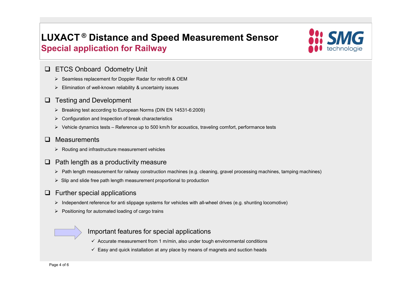# **LUXACT ® Distance and Speed Measurement Sensor Special application for Railway**



#### **ETCS Onboard Odometry Unit**

- $\triangleright$  Seamless replacement for Doppler Radar for retrofit & OEM
- $\triangleright$  Elimination of well-known reliability & uncertainty issues
- $\Box$  Testing and Development
	- Breaking test according to European Norms (DIN EN 14531-6:2009)
	- $\triangleright$  Configuration and Inspection of break characteristics
	- $\triangleright$  Vehicle dynamics tests Reference up to 500 km/h for acoustics, traveling comfort, performance tests

#### **D** Measurements

- $\triangleright$  Routing and infrastructure measurement vehicles
- $\Box$  Path length as a productivity measure
	- $\triangleright$  Path length measurement for railway construction machines (e.g. cleaning, gravel processing machines, tamping machines)
	- $\triangleright$  Slip and slide free path length measurement proportional to production

### $\Box$  Further special applications

- $\triangleright$  Independent reference for anti slippage systems for vehicles with all-wheel drives (e.g. shunting locomotive)
- $\triangleright$  Positioning for automated loading of cargo trains

### Important features for special applications

- $\checkmark$  Accurate measurement from 1 m/min, also under tough environmental conditions
- $\checkmark$  Easy and quick installation at any place by means of magnets and suction heads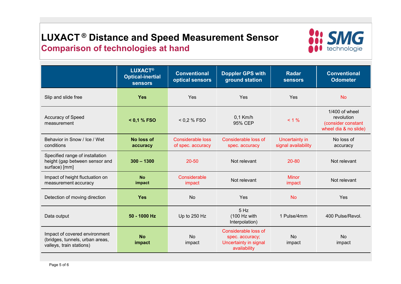# **LUXACT ® Distance and Speed Measurement Sensor Comparison of technologies at hand**



|                                                                                              | <b>LUXACT®</b><br><b>Optical-inertial</b><br><b>sensors</b> | <b>Conventional</b><br>optical sensors        | <b>Doppler GPS with</b><br>ground station                                        | <b>Radar</b><br><b>sensors</b>        | <b>Conventional</b><br><b>Odometer</b>                                      |
|----------------------------------------------------------------------------------------------|-------------------------------------------------------------|-----------------------------------------------|----------------------------------------------------------------------------------|---------------------------------------|-----------------------------------------------------------------------------|
| Slip and slide free                                                                          | <b>Yes</b>                                                  | Yes                                           | Yes                                                                              | Yes                                   | <b>No</b>                                                                   |
| <b>Accuracy of Speed</b><br>measurement                                                      | $< 0.1 %$ FSO                                               | < 0.2 % FSO                                   | $0,1$ Km/h<br>95% CEP                                                            | $< 1 \%$                              | 1/400 of wheel<br>revolution<br>(consider constant<br>wheel dia & no slide) |
| Behavior in Snow / Ice / Wet<br>conditions                                                   | No loss of<br>accuracy                                      | <b>Considerable loss</b><br>of spec. accuracy | Considerable loss of<br>spec. accuracy                                           | Uncertainty in<br>signal availability | No loss of<br>accuracy                                                      |
| Specified range of installation<br>height (gap between sensor and<br>surface) [mm]           | $300 - 1300$                                                | $20 - 50$                                     | Not relevant                                                                     | 20-80                                 | Not relevant                                                                |
| Impact of height fluctuation on<br>measurement accuracy                                      | <b>No</b><br>impact                                         | Considerable<br>impact                        | Not relevant                                                                     | <b>Minor</b><br>impact                | Not relevant                                                                |
| Detection of moving direction                                                                | <b>Yes</b>                                                  | <b>No</b>                                     | Yes                                                                              | <b>No</b>                             | Yes                                                                         |
| Data output                                                                                  | 50 - 1000 Hz                                                | Up to 250 Hz                                  | 5 Hz<br>(100 Hz with<br>Interpolation)                                           | 1 Pulse/4mm                           | 400 Pulse/Revol.                                                            |
| Impact of covered environment<br>(bridges, tunnels, urban areas,<br>valleys, train stations) | <b>No</b><br>impact                                         | <b>No</b><br>impact                           | Considerable loss of<br>spec. accuracy;<br>Uncertainty in signal<br>availability | <b>No</b><br>impact                   | <b>No</b><br>impact                                                         |